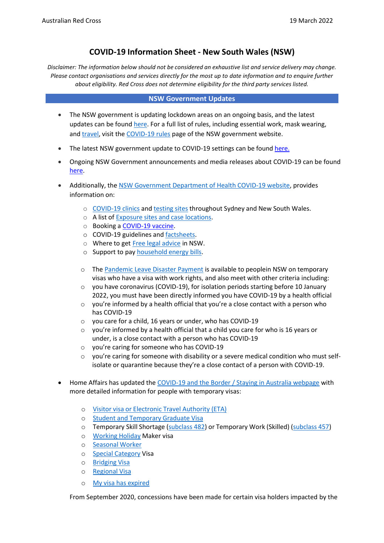# **COVID-19 Information Sheet - New South Wales (NSW)**

*Disclaimer: The information below should not be considered an exhaustive list and service delivery may change. Please contact organisations and services directly for the most up to date information and to enquire further about eligibility. Red Cross does not determine eligibility for the third party services listed.*

### **NSW Government Updates**

- The NSW government is updating lockdown areas on an ongoing basis, and the latest updates can be found [here.](https://www.nsw.gov.au/covid-19/rules) For a full list of rules, including essential work, mask wearing, and [travel, v](https://www.nsw.gov.au/covid-19/rules/interstate-hotspots)isit the [COVID-19 rules](https://www.nsw.gov.au/covid-19/rules) page of the NSW government website.
- The latest NSW government update to COVID-19 settings can be found [here.](https://www.nsw.gov.au/media-releases/nsw-government-update-to-covid-19-settings)
- Ongoing NSW Government announcements and media releases about COVID-19 can be found [here.](https://www.nsw.gov.au/media-releases/nsw-government-update-to-covid-19-settings)
- Additionally, the [NSW Government Department of Health COVID-19 website,](https://www.health.nsw.gov.au/Infectious/covid-19/Pages/default.aspx) provides information on:
	- o [COVID-19](https://www.health.nsw.gov.au/Infectious/covid-19/Pages/clinics.aspx) clinics and [testing](https://www.nsw.gov.au/covid-19/health-and-wellbeing/clinics) sites throughout Sydney and New South Wales.
	- o A list of Exposure sites and [case locations.](https://www.nsw.gov.au/covid-19/stay-safe/exposure-sites)
	- o Booking a [COVID-19 vaccine.](https://covid-vaccine.healthdirect.gov.au/booking/)
	- o COVID-19 guidelines and [factsheets.](https://www.health.nsw.gov.au/Infectious/covid-19/Pages/isolation-guidelines.aspx)
	- o Where to get [Free legal](https://www.service.nsw.gov.au/covid-19/free-legal-advice) advice in NSW.
	- o Support to pay [household](https://www.service.nsw.gov.au/covid-19/energy-relief) energy bills.
	- o The [Pandemic Leave Disaster Payment](https://www.servicesaustralia.gov.au/individuals/services/centrelink/pandemic-leave-disaster-payment-new-south-wales/who-can-get-it) is available to peoplein NSW on temporary visas who have a visa with work rights, and also meet with other criteria including:
	- $\circ$  you have coronavirus (COVID-19), for isolation periods starting before 10 January 2022, you must have been directly informed you have COVID-19 by a health official
	- $\circ$  you're informed by a health official that you're a close contact with a person who has COVID-19
	- o you care for a child, 16 years or under, who has COVID-19
	- o you're informed by a health official that a child you care for who is 16 years or under, is a close contact with a person who has COVID-19
	- o you're caring for someone who has COVID-19
	- $\circ$  you're caring for someone with disability or a severe medical condition who must selfisolate or quarantine because they're a close contact of a person with COVID-19.
- Home Affairs has updated the [COVID-19 and the Border / Staying in Australia webpage](https://covid19.homeaffairs.gov.au/staying-australia#13) with more detailed information for people with temporary visas:
	- o Visitor visa or [Electronic](https://covid19.homeaffairs.gov.au/visitor-visa-or-electronic-travel-authority-eta) Travel Authority (ETA)
	- o Student and [Temporary](https://covid19.homeaffairs.gov.au/student-and-temporary-graduate-visas) Graduate Visa
	- o Temporary Skill Shortage [\(subclass 482\)](https://covid19.homeaffairs.gov.au/temporary-skill-shortage-visa-subclass-482-or-temporary-work-skilled-visa-subclass-457) or Temporary Work (Skilled) [\(subclass](https://covid19.homeaffairs.gov.au/temporary-skill-shortage-visa-subclass-482-or-temporary-work-skilled-visa-subclass-457) 457)
	- o [Working](https://covid19.homeaffairs.gov.au/working-holiday-maker-visa) Holiday Maker visa
	- o [Seasonal](https://covid19.homeaffairs.gov.au/seasonal-worker) Worker
	- o Special [Category](https://covid19.homeaffairs.gov.au/special-category-visa) Visa
	- o [Bridging](https://covid19.homeaffairs.gov.au/bridging-visa) Visa
	- o [Regional](https://covid19.homeaffairs.gov.au/regional-visa) Visa
	- o My visa has [expired](https://covid19.homeaffairs.gov.au/my-visa-has-expired)

From September 2020, concessions have been made for certain visa holders impacted by the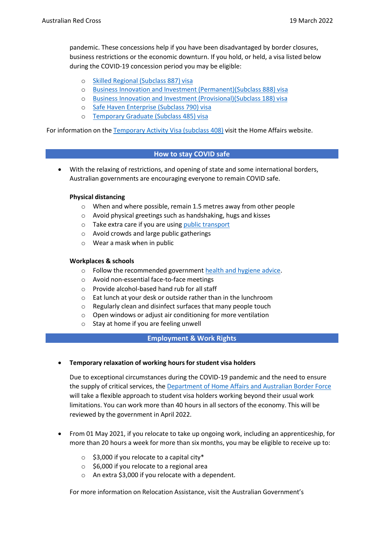pandemic. These concessions help if you have been disadvantaged by border closures, business restrictions or the economic downturn. If you hold, or held, a visa listed below during the COVID-19 concession period you may be eligible:

- o Skilled Regional [\(Subclass](https://immi.homeaffairs.gov.au/visas/getting-a-visa/visa-listing/skilled-regional-887) 887) visa
- o Business Innovation and Investment [\(Permanent\)\(Subclass](https://immi.homeaffairs.gov.au/visas/getting-a-visa/visa-listing/business-innovation-and-investment-888) 888) visa
- o Business Innovation and Investment [\(Provisional\)\(Subclass](https://immi.homeaffairs.gov.au/visas/getting-a-visa/visa-listing/business-innovation-and-investment-188) 188) visa
- o Safe Haven [Enterprise](https://immi.homeaffairs.gov.au/visas/getting-a-visa/visa-listing/safe-haven-enterprise-790#Overview) (Subclass 790) visa
- o [Temporary](https://immi.homeaffairs.gov.au/visas/getting-a-visa/visa-listing/temporary-graduate-485) Graduate (Subclass 485) visa

For information on the Temporary [Activity Visa](https://immi.homeaffairs.gov.au/visas/getting-a-visa/visa-listing/temporary-activity-408/australian-government-endorsed-events#Overview) (subclass 408) visit the Home Affairs website.

# **How to stay COVID safe**

• With the relaxing of restrictions, and opening of state and some international borders, Australian governments are encouraging everyone to remain COVID safe.

### **Physical distancing**

- o When and where possible, remain 1.5 metres away from other people
- o Avoid physical greetings such as handshaking, hugs and kisses
- o Take extra care if you are using public [transport](https://transportnsw.info/covid-19/covid-19-safer-travel-guidance)
- o Avoid crowds and large public gatherings
- o Wear a mask when in public

### **Workplaces & schools**

- o Follow the recommended government health and [hygiene](https://www.health.gov.au/news/health-alerts/novel-coronavirus-2019-ncov-health-alert/how-to-protect-yourself-and-others-from-coronavirus-covid-19/good-hygiene-for-coronavirus-covid-19) advice.
- o Avoid non-essential face-to-face meetings
- o Provide alcohol-based hand rub for all staff
- o Eat lunch at your desk or outside rather than in the lunchroom
- o Regularly clean and disinfect surfaces that many people touch
- o Open windows or adjust air conditioning for more ventilation
- o Stay at home if you are feeling unwell

### **Employment & Work Rights**

• **Temporary relaxation of working hoursfor student visa holders**

Due to exceptional circumstances during the COVID-19 pandemic and the need to ensure the supply of critical services, the [Department of Home Affairs and Australian Border Force](https://immi.homeaffairs.gov.au/visas/getting-a-visa/visa-listing/student-500/temporary-relaxation-of-working-hours-for-student-visa-holders) will take a flexible approach to student visa holders working beyond their usual work limitations. You can work more than 40 hours in all sectors of the economy. This will be reviewed by the government in April 2022.

- From 01 May 2021, if you relocate to take up ongoing work, including an apprenticeship, for more than 20 hours a week for more than six months, you may be eligible to receive up to:
	- $\circ$  \$3,000 if you relocate to a capital city\*
	- o \$6,000 if you relocate to a regional area
	- o An extra \$3,000 if you relocate with a dependent.

For more information on Relocation Assistance, visit the Australian Government's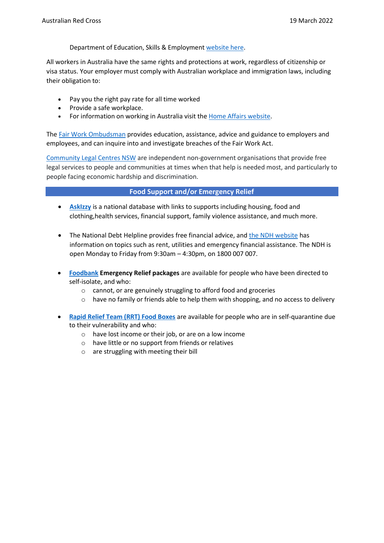Department of Education, Skills & Employment [website](https://www.dese.gov.au/rattuaj) here.

All workers in Australia have the same rights and protections at work, regardless of citizenship or visa status. Your employer must comply with Australian workplace and immigration laws, including their obligation to:

- Pay you the right pay rate for all time worked
- Provide a safe workplace.
- For information on working in Australia visit the Home Affairs [website.](https://immi.homeaffairs.gov.au/visas/working-in-australia)

The [Fair Work Ombudsman](https://www.fairwork.gov.au/) provides education, assistance, advice and guidance to employers and employees, and can inquire into and investigate breaches of the Fair Work Act.

[Community Legal Centres NSW](https://www.clcnsw.org.au/index.php/) are independent non-government organisations that provide free legal services to people and communities at times when that help is needed most, and particularly to people facing economic hardship and discrimination.

### **Food Support and/or Emergency Relief**

- **[AskIzzy](https://askizzy.org.au/)** is a national database with links to supports including housing, food and clothing,health services, financial support, family violence assistance, and much more.
- The National Debt Helpline provides free financial advice, and [the NDH website](https://ndh.org.au/) has information on topics such as rent, utilities and emergency financial assistance. The NDH is open Monday to Friday from 9:30am – 4:30pm, on 1800 007 007.
- **[Foodbank](https://www.foodbank.org.au/covid2021/?state=sa) Emergency Relief packages** are available for people who have been directed to self-isolate, and who:
	- o cannot, or are genuinely struggling to afford food and groceries
	- o have no family or friends able to help them with shopping, and no access to delivery
- **[Rapid Relief Team \(RRT\) Food Boxes](https://recovery.serviceconnect.gov.au/service/nsw/2000/sydney/rrt%2Bfood%2Bboxes/4009332593)** are available for people who are in self-quarantine due to their vulnerability and who:
	- o have lost income or their job, or are on a low income
	- o have little or no support from friends or relatives
	- o are struggling with meeting their bill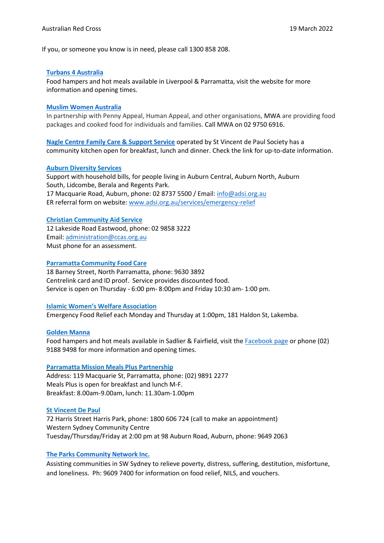If you, or someone you know is in need, please call 1300 858 208.

#### **Turbans 4 [Australia](https://www.t4a.org.au/)**

Food hampers and hot meals available in Liverpool & Parramatta, visit the website for more information and opening times.

#### **Muslim Women [Australia](https://mwa.org.au/)**

In partnership with Penny Appeal, Human Appeal, and other organisations, MWA are providing food packages and cooked food for individuals and families. Call MWA on 02 9750 6916.

**[Nagle Centre Family Care & Support Service](https://www.vinnies.org.au/page/Find_Help/NSW/Family_services/Nagle_Centre_Family_Care__Support/)** operated by St Vincent de Paul Society has a community kitchen open for breakfast, lunch and dinner. Check the link for up-to-date information.

#### **Auburn [Diversity](http://www.adsi.org.au/services/emergency-relief) Services**

Support with household bills, for people living in Auburn Central, Auburn North, Auburn South, Lidcombe, Berala and Regents Park. 17 Macquarie Road, Auburn, phone: 02 8737 5500 / Email: [info@adsi.org.au](mailto:info@adsi.org.au) ER referral form on website: [www.adsi.org.au/services/emergency-relief](http://www.adsi.org.au/services/emergency-relief)

#### **Christian [Community](https://ccas.org.au/) Aid Service**

12 Lakeside Road Eastwood, phone: 02 9858 3222 Email: [administration@ccas.org.au](mailto:administration@ccas.org.au) Must phone for an assessment.

#### **Parramatta [Community](http://pcc.org.au/home/care) Food Care**

18 Barney Street, North Parramatta, phone: 9630 3892 Centrelink card and ID proof. Service provides discounted food. Service is open on Thursday - 6:00 pm- 8:00pm and Friday 10:30 am- 1:00 pm.

#### **Islamic Women's Welfare [Association](https://www.iwwa.org.au/)**

Emergency Food Relief each Monday and Thursday at 1:00pm, 181 Haldon St, Lakemba.

#### **[Golden](https://www.goldenmanna.org/) Manna**

Food hampers and hot meals available in Sadlier & Fairfield, visit the [Facebook page](https://www.facebook.com/goldenmannaltd/) or phone (02) 9188 9498 for more information and opening times.

#### **Parramatta Mission Meals Plus [Partnership](https://www.parramattamission.org.au/services/meals-support/)**

Address: 119 Macquarie St, Parramatta, phone: (02) 9891 2277 Meals Plus is open for breakfast and lunch M-F. Breakfast: 8.00am-9.00am, lunch: 11.30am-1.00pm

#### **St [Vincent](https://www.vinnies.org.au/findhelp#!nsw) De Paul**

72 Harris Street Harris Park, phone: 1800 606 724 (call to make an appointment) Western Sydney Community Centre Tuesday/Thursday/Friday at 2:00 pm at 98 Auburn Road, Auburn, phone: 9649 2063

### **The Parks [Community](https://www.parkscommunity.org.au/) Network Inc.**

Assisting communities in SW Sydney to relieve poverty, distress, suffering, destitution, misfortune, and loneliness. Ph: 9609 7400 for information on food relief, NILS, and vouchers.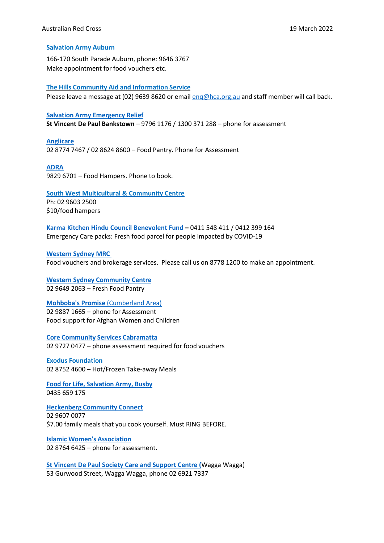### **[Salvation](https://www.salvationarmy.org.au/auburn/) Army Auburn**

166-170 South Parade Auburn, phone: 9646 3767 Make appointment for food vouchers etc.

**The Hills Community Aid and [Information](https://www.hca.org.au/) Service**

Please leave a message at (02) 9639 8620 or email eng@hca.org.au and staff member will call back.

### **Salvation Army [Emergency](https://www.salvationarmy.org.au/sydneystreetlevel/services/sal-salvos-assessment-line/) Relief**

**St Vincent De Paul Bankstown** – 9796 1176 / 1300 371 288 – phone for assessment

#### **[Anglicare](https://www.anglicare.org.au/mobile-community-pantry)**

02 8774 7467 / 02 8624 8600 – Food Pantry. Phone for Assessment

### **[ADRA](https://www.adra.org.au/)**

9829 6701 – Food Hampers. Phone to book.

**[South West Multicultural & Community Centre](https://www.swmacc.org.au/)** Ph: 02 9603 2500 \$10/food hampers

**[Karma Kitchen Hindu Council Benevolent Fund](http://hinducouncil.com.au/new/projects/karma-kitchen/) –** 0411 548 411 / 0412 399 164 Emergency Care packs: Fresh food parcel for people impacted by COVID-19

**Western [Sydney MRC](https://wsmrc.org.au/emergency-relief/)** Food vouchers and brokerage services. Please call us on 8778 1200 to make an appointment.

**Western Sydney [Community](https://www.facebook.com/wsccinc/) Centre** 02 9649 2063 – Fresh Food Pantry

**[Mohboba's Promise](https://mahbobaspromise.org/)** (Cumberland Area) 02 9887 1665 – phone for Assessment Food support for Afghan Women and Children

**Core Community Services [Cabramatta](https://corecs.org.au/)** 02 9727 0477 – phone assessment required for food vouchers

**Exodus [Foundation](https://www.billcrews.org/free-meals-sydney/)** 02 8752 4600 – Hot/Frozen Take-away Meals

**Food for Life, [Salvation](https://www.salvationarmy.org.au/about-us/news-and-stories/stories/food-for-life-and-spiritual-food-for-thought/) Army, Busby** 0435 659 175

**[Heckenberg](https://www.liverpoolnc.org.au/our-centres) Community Connect** 02 9607 0077 \$7.00 family meals that you cook yourself. Must RING BEFORE.

**Islamic Women's [Association](https://www.iwaa.org.au/)** 02 8764 6425 – phone for assessment.

**[St Vincent De Paul Society Care and Support Centre \(](https://www.mycommunitydirectory.com.au/Outlet/202841/St_Vincent_De_Paul_Society_Care_and_Support_Centre)**Wagga Wagga) 53 Gurwood Street, Wagga Wagga, phone 02 6921 7337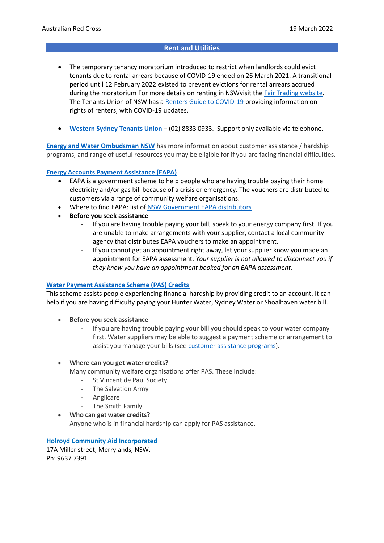### **Rent and Utilities**

- The temporary tenancy moratorium introduced to restrict when landlords could evict tenants due to rental arrears because of COVID-19 ended on 26 March 2021. A transitional period until 12 February 2022 existed to prevent evictions for rental arrears accrued during the moratorium For more details on renting in NSWvisit the [Fair Trading website.](https://www.fairtrading.nsw.gov.au/resource-library/publications/coronavirus-covid-19/property/moratorium) The Tenants Union of NSW has a [Renters Guide to COVID-19](https://www.tenants.org.au/covid19/guide) providing information on rights of renters, with COVID-19 updates.
- **Western Sydney [Tenants Union](https://www.wsclc.org.au/how-can-we-help/tenants-advice-and-advocacy/)** (02) 8833 0933. Support only available via telephone.

**[Energy and Water Ombudsman NSW](https://www.ewon.com.au/page/customer-resources/help-paying-bills/eapa-vouchers)** has more information about customer assistance / hardship programs, and range of useful resources you may be eligible for if you are facing financial difficulties.

#### **Energy Accounts Payment [Assistance](https://www.ewon.com.au/page/customer-resources/help-paying-bills/eapa-vouchers) (EAPA)**

- EAPA is a government scheme to help people who are having trouble paying their home electricity and/or gas bill because of a crisis or emergency. The vouchers are distributed to customers via a range of community welfare organisations.
- Where to find EAPA: list of NSW [Government](https://www.service.nsw.gov.au/transaction/energy-accounts-payment-assistance-eapa-scheme) EAPA distributors
- **Before you seek assistance**
	- If you are having trouble paying your bill, speak to your energy company first. If you are unable to make arrangements with your supplier, contact a local community agency that distributes EAPA vouchers to make an appointment.
	- If you cannot get an appointment right away, let your supplier know you made an appointment for EAPA assessment. *Your supplier is not allowed to disconnect you if they know you have an appointment booked for an EAPA assessment.*

### **Water Payment [Assistance](https://www.ewon.com.au/page/customer-resources/help-paying-bills/pas-credits) Scheme (PAS) Credits**

This scheme assists people experiencing financial hardship by providing credit to an account. It can help if you are having difficulty paying your Hunter Water, Sydney Water or Shoalhaven water bill.

- **Before you seek assistance**
	- If you are having trouble paying your bill you should speak to your water company first. Water suppliers may be able to suggest a payment scheme or arrangement to assist you manage your bills (see customer [assistance](https://www.ewon.com.au/index.cfm/help-for-customers/customer-assistance-programs/) programs).
- **Where can you get water credits?**

Many community welfare organisations offer PAS. These include:

- St Vincent de Paul Society
	- The Salvation Army
- Anglicare
- The Smith Family
- **Who can get water credits?**

Anyone who is in financial hardship can apply for PAS assistance.

**Holroyd Community Aid Incorporated** 17A Miller street, Merrylands, NSW. Ph: 9637 7391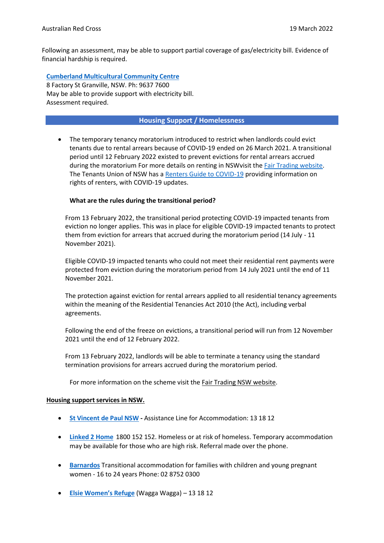Following an assessment, may be able to support partial coverage of gas/electricity bill. Evidence of financial hardship is required.

**Cumberland [Multicultural](http://www.cmcs.org.au/) Community Centre**

8 Factory St Granville, NSW. Ph: 9637 7600 May be able to provide support with electricity bill. Assessment required.

## **Housing Support / Homelessness**

• The temporary tenancy moratorium introduced to restrict when landlords could evict tenants due to rental arrears because of COVID-19 ended on 26 March 2021. A transitional period until 12 February 2022 existed to prevent evictions for rental arrears accrued during the moratorium For more details on renting in NSWvisit the [Fair Trading website.](https://www.fairtrading.nsw.gov.au/resource-library/publications/coronavirus-covid-19/property/moratorium) The Tenants Union of NSW has a [Renters Guide to COVID-19](https://www.tenants.org.au/covid19/guide) providing information on rights of renters, with COVID-19 updates.

### **What are the rules during the transitional period?**

From 13 February 2022, the transitional period protecting COVID-19 impacted tenants from eviction no longer applies. This was in place for eligible COVID-19 impacted tenants to protect them from eviction for arrears that accrued during the moratorium period (14 July - 11 November 2021).

Eligible COVID-19 impacted tenants who could not meet their residential rent payments were protected from eviction during the moratorium period from 14 July 2021 until the end of 11 November 2021.

The protection against eviction for rental arrears applied to all residential tenancy agreements within the meaning of the Residential Tenancies Act 2010 (the Act), including verbal agreements.

Following the end of the freeze on evictions, a transitional period will run from 12 November 2021 until the end of 12 February 2022.

From 13 February 2022, landlords will be able to terminate a tenancy using the standard termination provisions for arrears accrued during the moratorium period.

For more information on the scheme visit the Fair Trading NSW [website.](https://www.fairtrading.nsw.gov.au/resource-library/publications/coronavirus-covid-19/property/moratorium)

### **Housing support services in NSW.**

- **St [Vincent](https://www.vinnies.org.au/findhelp/view/144) de Paul NSW -** Assistance Line for Accommodation: 13 18 12
- **Linked [2 Home](http://www.sydneyhomelessconnect.com/services/link2home/)** 1800 152 152. Homeless or at risk of homeless. Temporary accommodation may be available for those who are high risk. Referral made over the phone.
- **[Barnardos](https://www.barnardos.org.au/)** Transitional accommodation for families with children and young pregnant women - 16 to 24 years Phone: 02 8752 0300
- **Elsie [Women's](https://www.vinnies.org.au/page/Find_Help/NSW/Domestic_and_family_violence/Elsie_Women_s_Refuge/?gclid=EAIaIQobChMIpYj9sqyL6QIVTA4rCh3_kQC0EAAYASAAEgLmm_D_BwE) Refuge** (Wagga Wagga) 13 18 12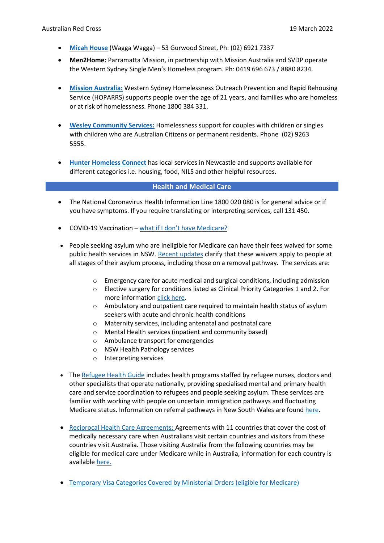- **Micah [House](https://www.wagga.catholic.org.au/Crisis/MicahHouse.aspx)** (Wagga Wagga) 53 Gurwood Street, Ph: (02) 6921 7337
- **Men2Home:** Parramatta Mission, in partnership with Mission Australia and SVDP operate the Western Sydney Single Men's Homeless program. Ph: 0419 696 673 / 8880 8234.
- **[Mission Australia:](https://www.missionaustralia.com.au/servicedirectory/191-housing-homelessness/western-syd-homelessness-outreach-prevention-and-rapid-rehousing-support-service-hoparrs)** Western Sydney Homelessness Outreach Prevention and Rapid Rehousing Service (HOPARRS) supports people over the age of 21 years, and families who are homeless or at risk of homelessness. Phone 1800 384 331.
- **[Wesley Community Services:](https://www.wesleymission.org.au/about-us/what-we-do/helping-people-most-in-need/housing-and-accommodation/wesley-community-housing/)** Homelessness support for couples with children or singles with children who are Australian Citizens or permanent residents. Phone (02) 9263 5555.
- **[Hunter Homeless Connect](https://hunterhomelessconnect.org.au/hunter-homeless-connect-day/)** has local services in Newcastle and supports available for different categories i.e. housing, food, NILS and other helpful resources.

#### **Health and Medical Care**

- The National Coronavirus Health Information Line 1800 020 080 is for general advice or if you have symptoms. If you require translating or interpreting services, call 131 450.
- COVID-19 Vaccination what if I [don't have](https://www.health.gov.au/initiatives-and-programs/covid-19-vaccines/getting-your-vaccination/no-medicare-card) Medicare?
- People seeking asylum who are ineligible for Medicare can have their fees waived for some public health services in NSW. [Recent updates](https://www1.health.nsw.gov.au/pds/ActivePDSDocuments/PD2020_039.pdf) clarify that these waivers apply to people at all stages of their asylum process, including those on a removal pathway. The services are:
	- o Emergency care for acute medical and surgical conditions, including admission
	- o Elective surgery for conditions listed as Clinical Priority Categories 1 and 2. For more information click [here.](https://www1.health.nsw.gov.au/pds/ActivePDSDocuments/PD2020_039.pdf)
	- o Ambulatory and outpatient care required to maintain health status of asylum seekers with acute and chronic health conditions
	- o Maternity services, including antenatal and postnatal care
	- o Mental Health services (inpatient and community based)
	- o Ambulance transport for emergencies
	- o NSW Health Pathology services
	- o Interpreting services
- The [Refugee Health Guide](https://refugeehealthguide.org.au/referrals/) includes health programs staffed by refugee nurses, doctors and other specialists that operate nationally, providing specialised mental and primary health care and service coordination to refugees and people seeking asylum. These services are familiar with working with people on uncertain immigration pathways and fluctuating Medicare status. Information on referral pathways in New South Wales are found [here.](https://refugeehealthguide.org.au/referrals/new-south-wales/)
- Reciprocal Health Care [Agreements:](https://www.servicesaustralia.gov.au/individuals/services/medicare/reciprocal-health-care-agreements) Agreements with 11 countries that cover the cost of medically necessary care when Australians visit certain countries and visitors from these countries visit Australia. Those visiting Australia from the following countries may be eligible for medical care under Medicare while in Australia, information for each country is available [here.](https://www.servicesaustralia.gov.au/individuals/services/medicare/reciprocal-health-care-agreements/when-you-visit-australia)
- [Temporary](https://www.servicesaustralia.gov.au/individuals/subjects/how-enrol-and-get-started-medicare/enrolling-medicare/how-enrol-medicare-if-youre-temporary-resident-covered-ministerial-order) Visa Categories Covered by Ministerial Orders (eligible for Medicare)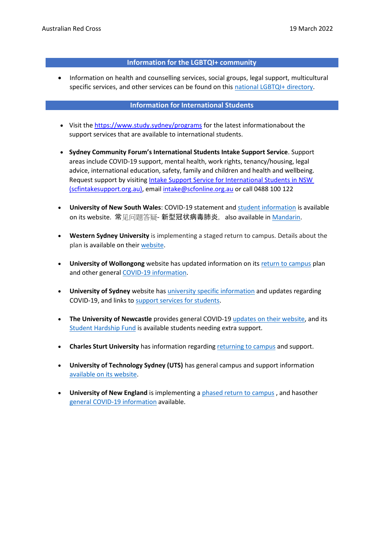### **Information for the LGBTQI+ community**

• Information on health and counselling services, social groups, legal support, multicultural specific services, and other services can be found on this national LGBTQI+ [directory.](https://docs.google.com/spreadsheets/d/1CTv8NSkImdhclvS_ZJ61t1k33KPE5f4PF0wWApP6aFk/edit#gid%3D1868596043)

### **Information for International Students**

- Visit the <https://www.study.sydney/programs> for the latest informationabout the support services that are available to international students.
- **Sydney Community Forum's International Students Intake Support Service**. Support areas include COVID-19 support, mental health, work rights, tenancy/housing, legal advice, international education, safety, family and children and health and wellbeing. Request support by visiting Intake Support Service for International Students in NSW [\(scfintakesupport.org.au\),](https://www.scfintakesupport.org.au/) email [intake@scfonline.org.au](mailto:intake@scfonline.org.au) or call 0488 100 122
- **University of New South Wales**: COVID-19 statement and [student information](https://www.covid-19.unsw.edu.au/) is available on its website. 常见问题答疑- 新型冠状病毒肺炎, also available in [Mandarin.](https://www.unsw.edu.au/faqs-coronavirus-chinese)
- **Western Sydney University** is implementing a staged return to campus. Details about the plan is available on their [website.](https://www.westernsydney.edu.au/coronavirus-information.html)
- **University of Wollongong** website has updated information on its [return to campus](https://www.uow.edu.au/student/news/2021/uow-announces-plans-for-a-vibrant-return-to-on-campus-teaching-in-2022.php) plan and other general [COVID-19 information.](https://www.uow.edu.au/coronavirus/student/)
- **University of Sydney** website has [university specific information](https://www.sydney.edu.au/study/coronavirus-infection-university-of-sydney-advice.html) and updates regarding COVID-19, and links to support services [for students.](https://www.sydney.edu.au/study/coronavirus-infection-university-of-sydney-advice/support.html)
- **The University of Newcastle** provides general COVID-19 [updates on their website, a](https://www.newcastle.edu.au/covid-19)nd its Student [Hardship](https://www.newcastle.edu.au/student-hardship-fund) Fund is available students needing extra support.
- **Charles Sturt University** has information regarding [returning](https://www.csu.edu.au/current-students/safety-wellbeing/your-wellbeing/coronavirus) to campus and support.
- **University of Technology Sydney (UTS)** has general campus and support information [available](https://www.uts.edu.au/current-students/news/coronavirus-and-international-travel-information) on its website.
- **University of New England** is implementing a [phased return to campus](https://www.une.edu.au/coronavirus-information/students) , and hasother [general COVID-19 information](https://www.une.edu.au/coronavirus-information) available.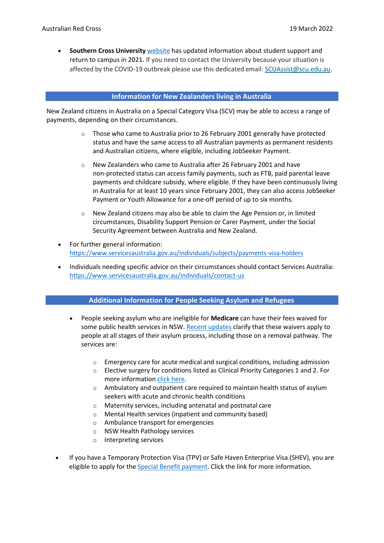• **Southern Cross University** [website](https://www.scu.edu.au/coronavirus/information-for-students/) has updated information about student support and return to campus in 2021. If you need to contact the University because your situation is affected by the COVID-19 outbreak please use this dedicated email: [SCUAssist@scu.edu.au.](mailto:SCUAssist@scu.edu.au)

### **Information for New Zealanders living in Australia**

New Zealand citizens in Australia on a Special Category Visa (SCV) may be able to access a range of payments, depending on their circumstances.

- $\circ$  Those who came to Australia prior to 26 February 2001 generally have protected status and have the same access to all Australian payments as permanent residents and Australian citizens, where eligible, including JobSeeker Payment.
- o New Zealanders who came to Australia after 26 February 2001 and have non-protected status can access family payments, such as FTB, paid parental leave payments and childcare subsidy, where eligible. If they have been continuously living in Australia for at least 10 years since February 2001, they can also access JobSeeker Payment or Youth Allowance for a one-off period of up to six months.
- o New Zealand citizens may also be able to claim the Age Pension or, in limited circumstances, Disability Support Pension or Carer Payment, under the Social Security Agreement between Australia and New Zealand.
- For further general information: <https://www.servicesaustralia.gov.au/individuals/subjects/payments-visa-holders>
- Individuals needing specific advice on their circumstances should contact Services Australia: <https://www.servicesaustralia.gov.au/individuals/contact-us>

# **Additional Information for People Seeking Asylum and Refugees**

- People seeking asylum who are ineligible for **Medicare** can have their fees waived for some public health services in NSW. [Recent updates](https://www1.health.nsw.gov.au/pds/ActivePDSDocuments/PD2020_039.pdf) clarify that these waivers apply to people at all stages of their asylum process, including those on a removal pathway. The services are:
	- $\circ$  Emergency care for acute medical and surgical conditions, including admission
	- o Elective surgery for conditions listed as Clinical Priority Categories 1 and 2. For more information click [here.](https://www1.health.nsw.gov.au/pds/ActivePDSDocuments/PD2020_039.pdf)
	- o Ambulatory and outpatient care required to maintain health status of asylum seekers with acute and chronic health conditions
	- o Maternity services, including antenatal and postnatal care
	- o Mental Health services (inpatient and community based)
	- o Ambulance transport for emergencies
	- o NSW Health Pathology services
	- o Interpreting services
- If you have a Temporary Protection Visa (TPV) or Safe Haven Enterprise Visa (SHEV), you are eligible to apply for the Special Benefit [payment.](https://www.servicesaustralia.gov.au/individuals/services/centrelink/special-benefit) Click the link for more information.